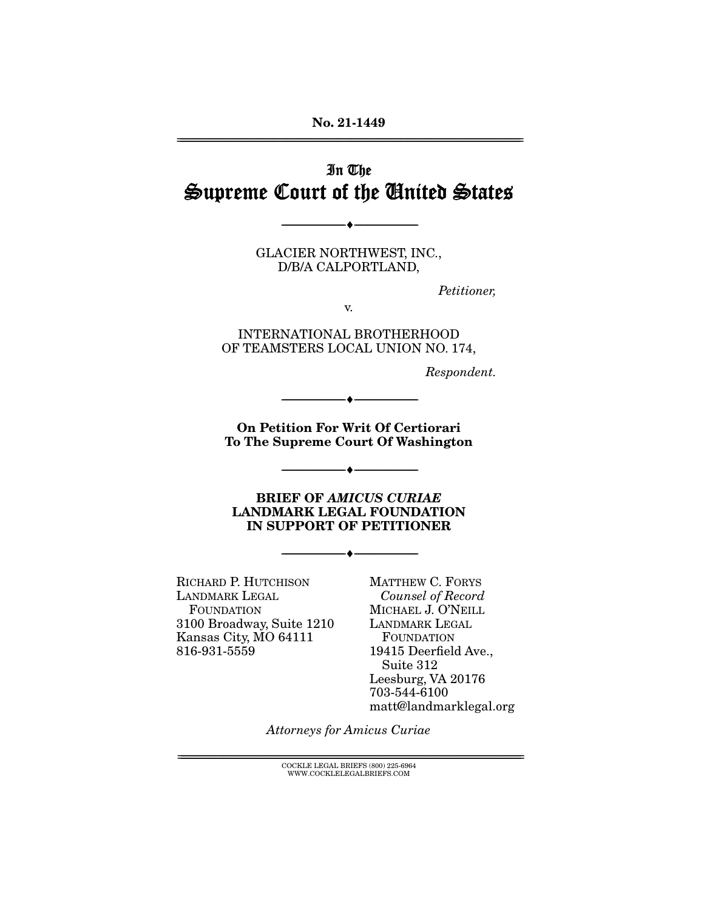## In The Supreme Court of the United States

GLACIER NORTHWEST, INC., D/B/A CALPORTLAND,

--------------------------------- ♦ ---------------------------------

Petitioner,

v.

INTERNATIONAL BROTHERHOOD OF TEAMSTERS LOCAL UNION NO. 174,

Respondent.

**On Petition For Write County Of Washingto To The Supreme Court Of Washington** 

--------------------------------- ♦ ---------------------------------

--------------------------------- ♦ ---------------------------------

**BRIEF OF** *AMICUS CURIAE*<br>**LANDMARK LEGAL FOUNDATION LANDING IN SUPPORT OF PETITIONER IN SUPPORT OF PETITIONER** 

--------------------------------- ♦ ---------------------------------

RICHARD P. HUTCHISON LANDMARK LEGAL FOUNDATION 3100 Broadway, Suite 1210 Kansas City, MO 64111 816-931-5559

MATTHEW C. FORYS Counsel of Record MICHAEL J. O'NEILL LANDMARK LEGAL FOUNDATION 19415 Deerfield Ave., Suite 312 Leesburg, VA 20176 703-544-6100 matt@landmarklegal.org

Attorneys for Amicus Curiae

 ${COCKLE}$  LEGAL BRIEFS (800) 225-6964 WWW.COCKLELEGALBRIEFS.COM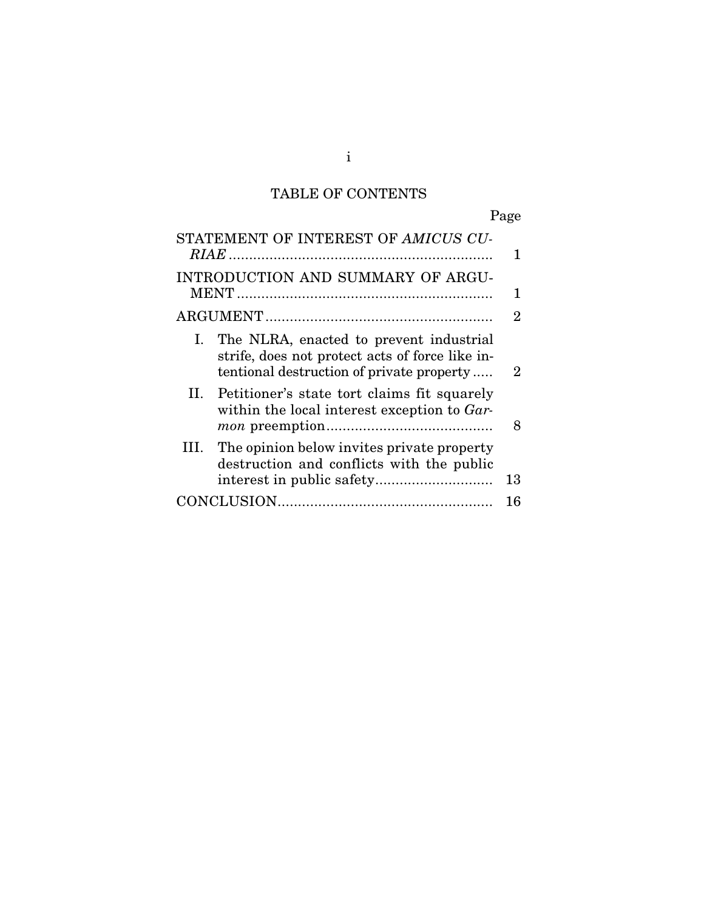## TABLE OF CONTENTS

## Page

| STATEMENT OF INTEREST OF AMICUS CU-                                                                                                        | 1  |
|--------------------------------------------------------------------------------------------------------------------------------------------|----|
| INTRODUCTION AND SUMMARY OF ARGU-                                                                                                          |    |
|                                                                                                                                            | 2  |
| I. The NLRA, enacted to prevent industrial<br>strife, does not protect acts of force like in-<br>tentional destruction of private property | 2  |
| II. Petitioner's state tort claims fit squarely<br>within the local interest exception to Gar-                                             | 8  |
| III. The opinion below invites private property<br>destruction and conflicts with the public                                               | 13 |
|                                                                                                                                            | 16 |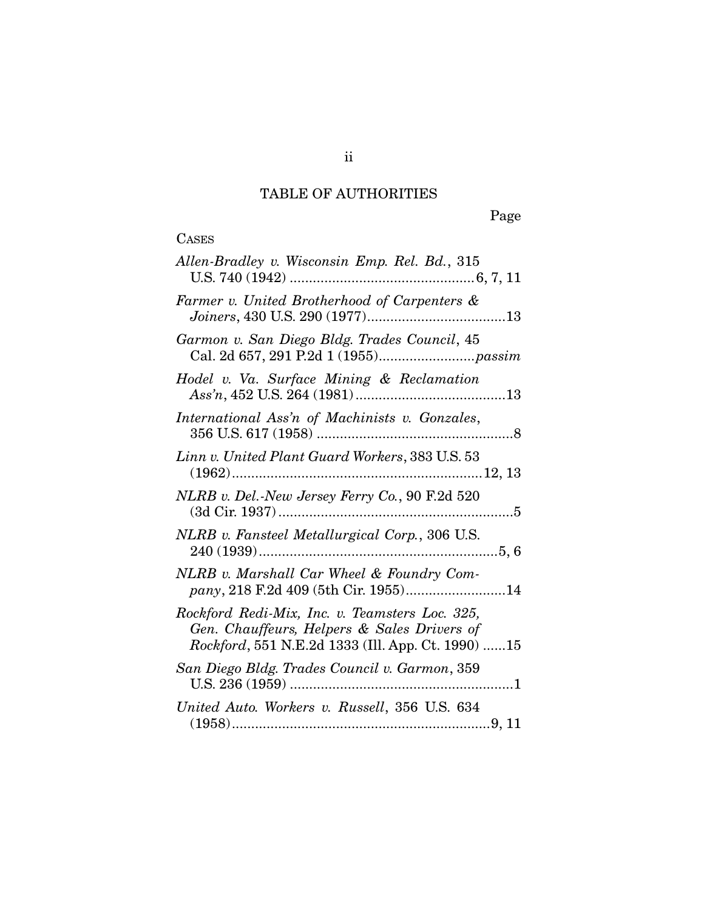## TABLE OF AUTHORITIES

Page

## **CASES**

| Allen-Bradley v. Wisconsin Emp. Rel. Bd., 315                                                                                                      |
|----------------------------------------------------------------------------------------------------------------------------------------------------|
| Farmer v. United Brotherhood of Carpenters &                                                                                                       |
| Garmon v. San Diego Bldg. Trades Council, 45                                                                                                       |
| Hodel v. Va. Surface Mining & Reclamation                                                                                                          |
| International Ass'n of Machinists v. Gonzales,                                                                                                     |
| Linn v. United Plant Guard Workers, 383 U.S. 53                                                                                                    |
| NLRB v. Del.-New Jersey Ferry Co., 90 F.2d 520                                                                                                     |
| NLRB v. Fansteel Metallurgical Corp., 306 U.S.                                                                                                     |
| NLRB v. Marshall Car Wheel & Foundry Com-<br>pany, 218 F.2d 409 (5th Cir. 1955)14                                                                  |
| Rockford Redi-Mix, Inc. v. Teamsters Loc. 325,<br>Gen. Chauffeurs, Helpers & Sales Drivers of<br>Rockford, 551 N.E.2d 1333 (Ill. App. Ct. 1990) 15 |
| San Diego Bldg. Trades Council v. Garmon, 359                                                                                                      |
| United Auto. Workers v. Russell, 356 U.S. 634                                                                                                      |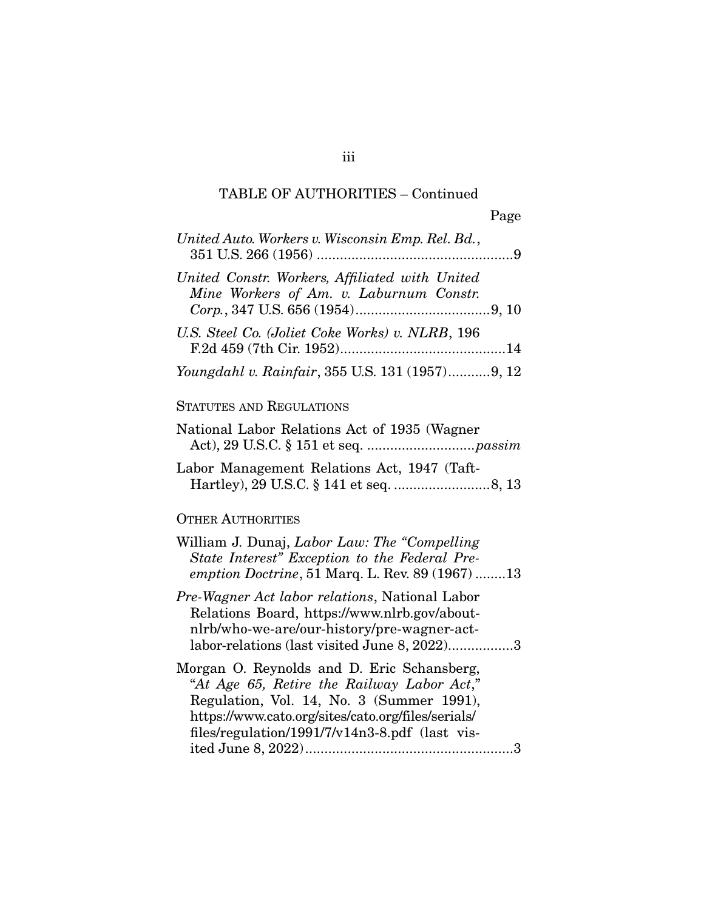### TABLE OF AUTHORITIES – Continued

| United Auto. Workers v. Wisconsin Emp. Rel. Bd.,                                                                                                                                              |
|-----------------------------------------------------------------------------------------------------------------------------------------------------------------------------------------------|
| United Constr. Workers, Affiliated with United<br>Mine Workers of Am. v. Laburnum Constr.                                                                                                     |
| U.S. Steel Co. (Joliet Coke Works) v. NLRB, 196                                                                                                                                               |
| Youngdahl v. Rainfair, 355 U.S. 131 (1957) 9, 12                                                                                                                                              |
| <b>STATUTES AND REGULATIONS</b>                                                                                                                                                               |
| National Labor Relations Act of 1935 (Wagner                                                                                                                                                  |
| Labor Management Relations Act, 1947 (Taft-                                                                                                                                                   |
| <b>OTHER AUTHORITIES</b>                                                                                                                                                                      |
| William J. Dunaj, Labor Law: The "Compelling"<br>State Interest" Exception to the Federal Pre-<br>emption Doctrine, 51 Marq. L. Rev. 89 (1967) 13                                             |
| Pre-Wagner Act labor relations, National Labor<br>Relations Board, https://www.nlrb.gov/about-<br>nlrb/who-we-are/our-history/pre-wagner-act-<br>labor-relations (last visited June 8, 2022)3 |
| Morgan O. Reynolds and D. Eric Schansberg,<br>"At Age 65, Retire the Railway Labor Act,"<br>Regulation, Vol. 14, No. 3 (Summer 1991),<br>https://www.cato.org/sites/cato.org/files/serials/   |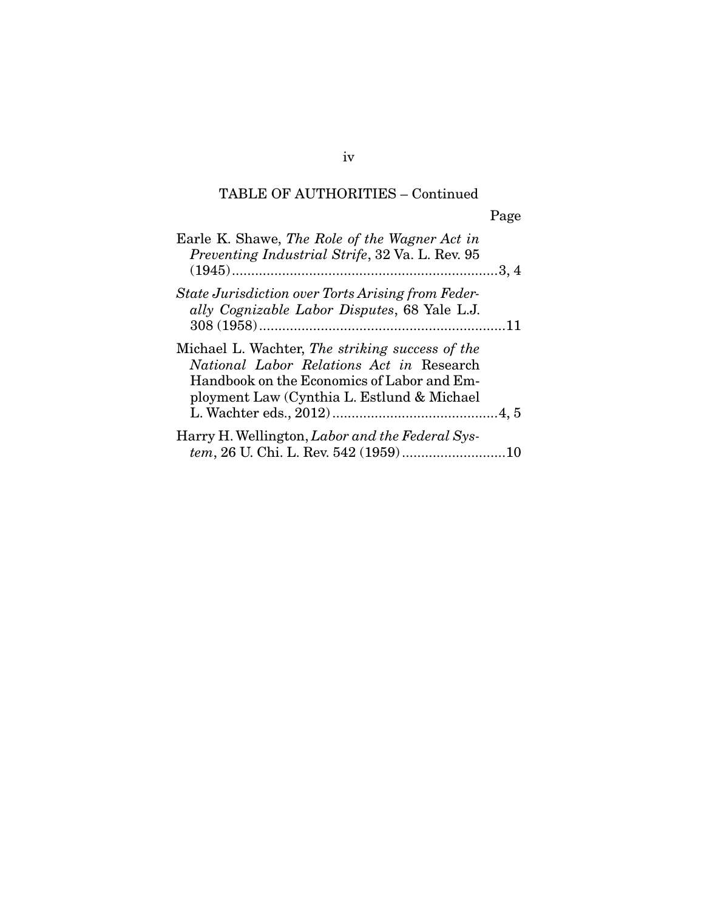## TABLE OF AUTHORITIES – Continued

| ۰, |  |
|----|--|
|    |  |

| Earle K. Shawe, The Role of the Wagner Act in<br>Preventing Industrial Strife, 32 Va. L. Rev. 95                                                                                         |  |
|------------------------------------------------------------------------------------------------------------------------------------------------------------------------------------------|--|
| State Jurisdiction over Torts Arising from Feder-<br>ally Cognizable Labor Disputes, 68 Yale L.J.                                                                                        |  |
| Michael L. Wachter, The striking success of the<br>National Labor Relations Act in Research<br>Handbook on the Economics of Labor and Em-<br>ployment Law (Cynthia L. Estlund & Michael) |  |
| Harry H. Wellington, Labor and the Federal Sys-                                                                                                                                          |  |
| tem, 26 U. Chi. L. Rev. 542 (1959)10                                                                                                                                                     |  |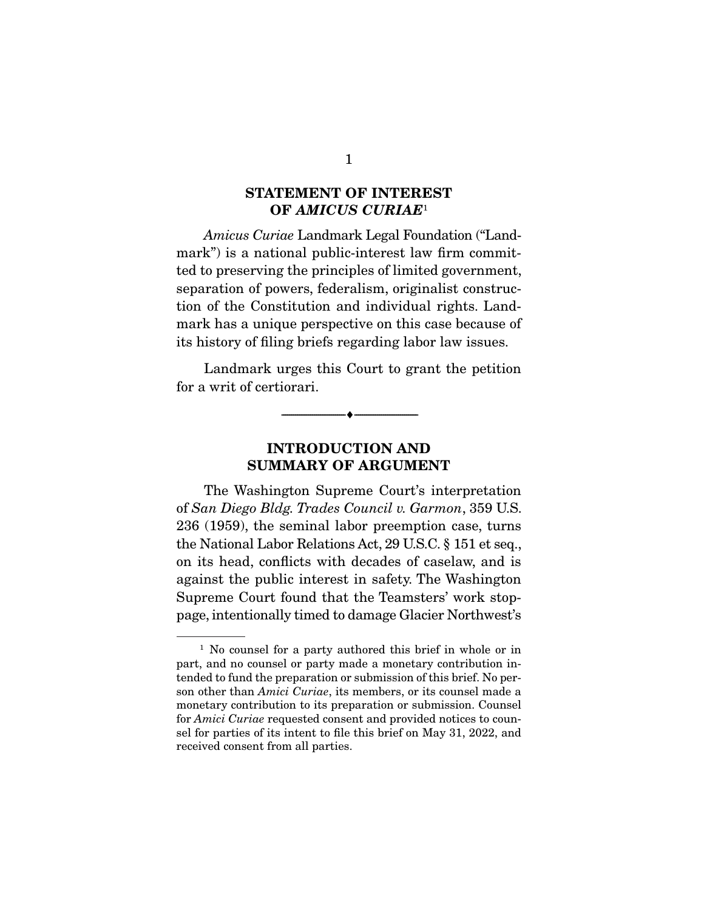# $OF AMICUS CURIAE<sup>1</sup>$

Amicus Curiae Landmark Legal Foundation ("Landmark") is a national public-interest law firm committed to preserving the principles of limited government, separation of powers, federalism, originalist construction of the Constitution and individual rights. Landmark has a unique perspective on this case because of its history of filing briefs regarding labor law issues.

 Landmark urges this Court to grant the petition for a writ of certiorari.

 $\overbrace{\hspace{2.5cm}}^{\bullet}$   $\overbrace{\hspace{2.5cm}}^{\bullet}$ 

#### **INTRODUCTION AND SUMMARY OF ARGUMENT SUMMARY OF ARGUMENT**

 The Washington Supreme Court's interpretation of San Diego Bldg. Trades Council v. Garmon, 359 U.S. 236 (1959), the seminal labor preemption case, turns the National Labor Relations Act, 29 U.S.C. § 151 et seq., on its head, conflicts with decades of caselaw, and is against the public interest in safety. The Washington Supreme Court found that the Teamsters' work stoppage, intentionally timed to damage Glacier Northwest's

<sup>&</sup>lt;sup>1</sup> No counsel for a party authored this brief in whole or in part, and no counsel or party made a monetary contribution intended to fund the preparation or submission of this brief. No person other than Amici Curiae, its members, or its counsel made a monetary contribution to its preparation or submission. Counsel for Amici Curiae requested consent and provided notices to counsel for parties of its intent to file this brief on May 31, 2022, and received consent from all parties.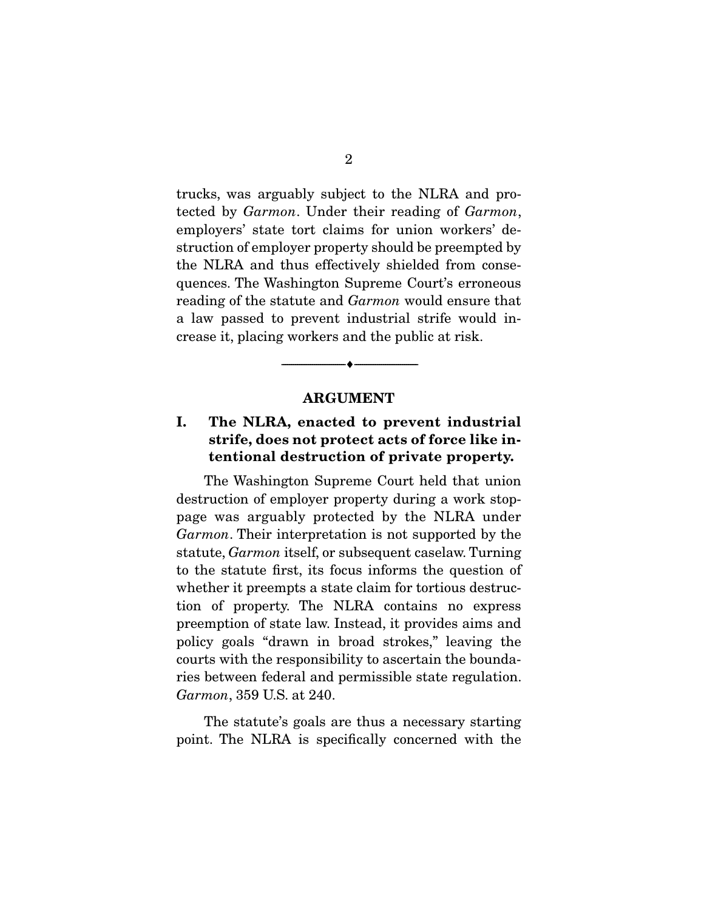trucks, was arguably subject to the NLRA and protected by Garmon. Under their reading of Garmon, employers' state tort claims for union workers' destruction of employer property should be preempted by the NLRA and thus effectively shielded from consequences. The Washington Supreme Court's erroneous reading of the statute and Garmon would ensure that a law passed to prevent industrial strife would increase it, placing workers and the public at risk.

# **ARGUMENT : 2**

 $\overbrace{\hspace{2.5cm}}^{\bullet}$   $\overbrace{\hspace{2.5cm}}^{\bullet}$ 

## **I. The NLRA, enacted to prevent industrial**  tories, acts act protectative created and an **tentional destruction of private property.**

 The Washington Supreme Court held that union destruction of employer property during a work stoppage was arguably protected by the NLRA under Garmon. Their interpretation is not supported by the statute, Garmon itself, or subsequent caselaw. Turning to the statute first, its focus informs the question of whether it preempts a state claim for tortious destruction of property. The NLRA contains no express preemption of state law. Instead, it provides aims and policy goals "drawn in broad strokes," leaving the courts with the responsibility to ascertain the boundaries between federal and permissible state regulation. Garmon, 359 U.S. at 240.

 The statute's goals are thus a necessary starting point. The NLRA is specifically concerned with the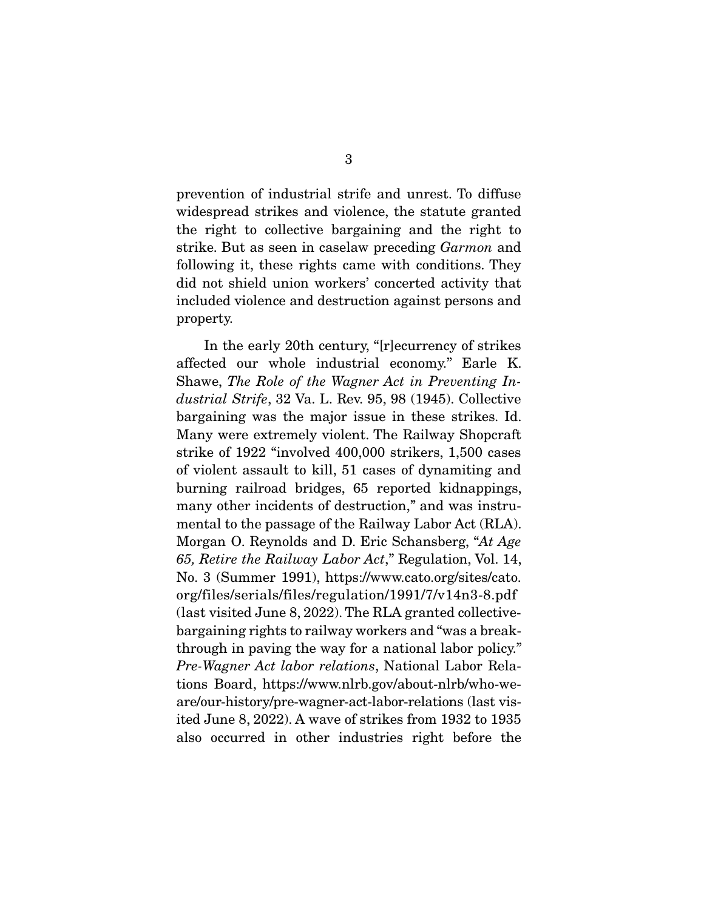prevention of industrial strife and unrest. To diffuse widespread strikes and violence, the statute granted the right to collective bargaining and the right to strike. But as seen in caselaw preceding Garmon and following it, these rights came with conditions. They did not shield union workers' concerted activity that included violence and destruction against persons and property.

 In the early 20th century, "[r]ecurrency of strikes affected our whole industrial economy." Earle K. Shawe, The Role of the Wagner Act in Preventing Industrial Strife, 32 Va. L. Rev. 95, 98 (1945). Collective bargaining was the major issue in these strikes. Id. Many were extremely violent. The Railway Shopcraft strike of 1922 "involved 400,000 strikers, 1,500 cases of violent assault to kill, 51 cases of dynamiting and burning railroad bridges, 65 reported kidnappings, many other incidents of destruction," and was instrumental to the passage of the Railway Labor Act (RLA). Morgan O. Reynolds and D. Eric Schansberg, "At Age 65, Retire the Railway Labor Act," Regulation, Vol. 14, No. 3 (Summer 1991), https://www.cato.org/sites/cato. org/files/serials/files/regulation/1991/7/v14n3-8.pdf (last visited June 8, 2022). The RLA granted collectivebargaining rights to railway workers and "was a breakthrough in paving the way for a national labor policy." Pre-Wagner Act labor relations, National Labor Relations Board, https://www.nlrb.gov/about-nlrb/who-weare/our-history/pre-wagner-act-labor-relations (last visited June 8, 2022). A wave of strikes from 1932 to 1935 also occurred in other industries right before the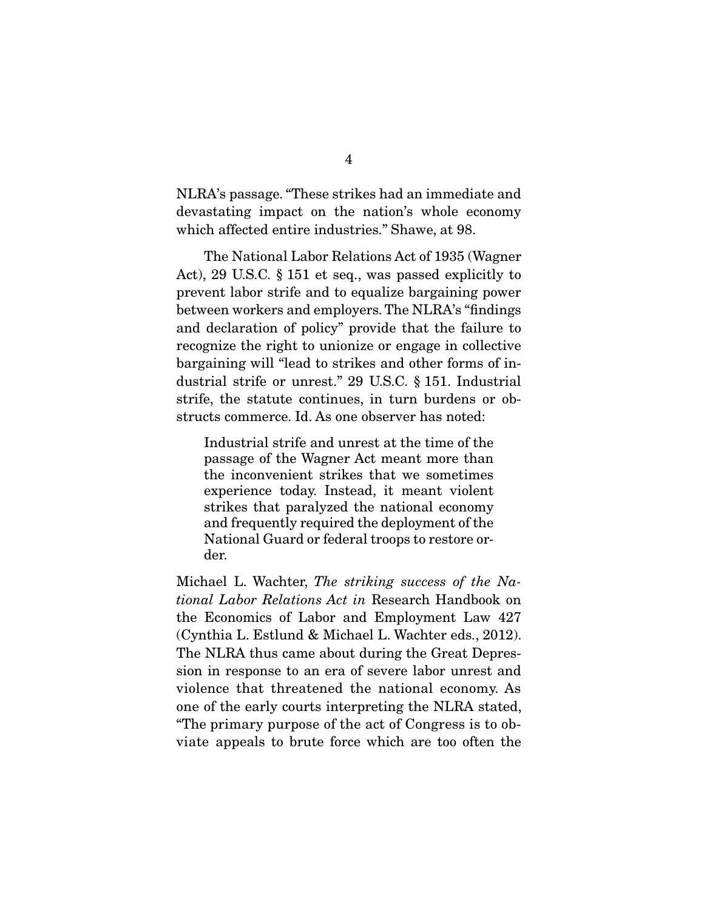NLRA's passage. "These strikes had an immediate and devastating impact on the nation's whole economy which affected entire industries." Shawe, at 98.

 The National Labor Relations Act of 1935 (Wagner Act), 29 U.S.C. § 151 et seq., was passed explicitly to prevent labor strife and to equalize bargaining power between workers and employers. The NLRA's "findings and declaration of policy" provide that the failure to recognize the right to unionize or engage in collective bargaining will "lead to strikes and other forms of industrial strife or unrest." 29 U.S.C. § 151. Industrial strife, the statute continues, in turn burdens or obstructs commerce. Id. As one observer has noted:

Industrial strife and unrest at the time of the passage of the Wagner Act meant more than the inconvenient strikes that we sometimes experience today. Instead, it meant violent strikes that paralyzed the national economy and frequently required the deployment of the National Guard or federal troops to restore order.

Michael L. Wachter, The striking success of the National Labor Relations Act in Research Handbook on the Economics of Labor and Employment Law 427 (Cynthia L. Estlund & Michael L. Wachter eds., 2012). The NLRA thus came about during the Great Depression in response to an era of severe labor unrest and violence that threatened the national economy. As one of the early courts interpreting the NLRA stated, "The primary purpose of the act of Congress is to obviate appeals to brute force which are too often the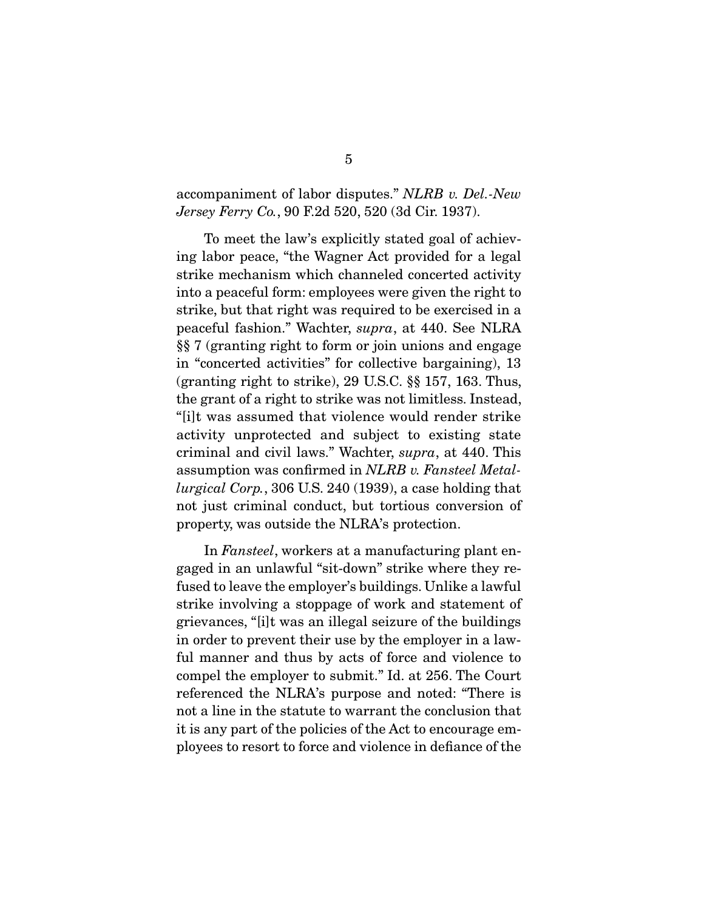#### accompaniment of labor disputes." NLRB v. Del.-New Jersey Ferry Co., 90 F.2d 520, 520 (3d Cir. 1937).

 To meet the law's explicitly stated goal of achieving labor peace, "the Wagner Act provided for a legal strike mechanism which channeled concerted activity into a peaceful form: employees were given the right to strike, but that right was required to be exercised in a peaceful fashion." Wachter, supra, at 440. See NLRA §§ 7 (granting right to form or join unions and engage in "concerted activities" for collective bargaining), 13 (granting right to strike), 29 U.S.C. §§ 157, 163. Thus, the grant of a right to strike was not limitless. Instead, "[i]t was assumed that violence would render strike activity unprotected and subject to existing state criminal and civil laws." Wachter, supra, at 440. This assumption was confirmed in NLRB v. Fansteel Metallurgical Corp., 306 U.S. 240 (1939), a case holding that not just criminal conduct, but tortious conversion of property, was outside the NLRA's protection.

 In Fansteel, workers at a manufacturing plant engaged in an unlawful "sit-down" strike where they refused to leave the employer's buildings. Unlike a lawful strike involving a stoppage of work and statement of grievances, "[i]t was an illegal seizure of the buildings in order to prevent their use by the employer in a lawful manner and thus by acts of force and violence to compel the employer to submit." Id. at 256. The Court referenced the NLRA's purpose and noted: "There is not a line in the statute to warrant the conclusion that it is any part of the policies of the Act to encourage employees to resort to force and violence in defiance of the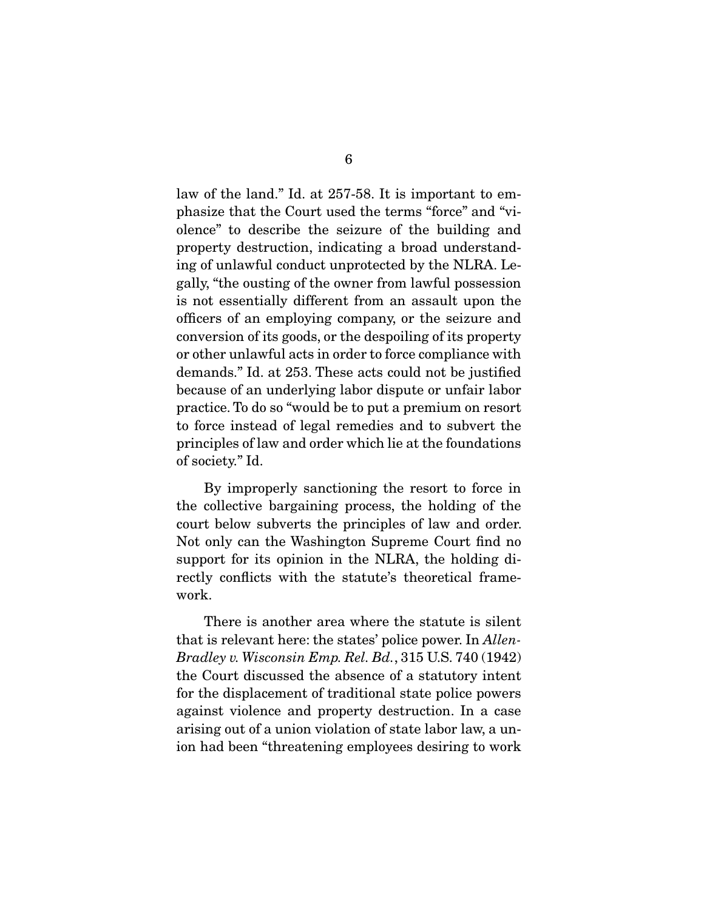law of the land." Id. at 257-58. It is important to emphasize that the Court used the terms "force" and "violence" to describe the seizure of the building and property destruction, indicating a broad understanding of unlawful conduct unprotected by the NLRA. Legally, "the ousting of the owner from lawful possession is not essentially different from an assault upon the officers of an employing company, or the seizure and conversion of its goods, or the despoiling of its property or other unlawful acts in order to force compliance with demands." Id. at 253. These acts could not be justified because of an underlying labor dispute or unfair labor practice. To do so "would be to put a premium on resort to force instead of legal remedies and to subvert the principles of law and order which lie at the foundations of society." Id.

 By improperly sanctioning the resort to force in the collective bargaining process, the holding of the court below subverts the principles of law and order. Not only can the Washington Supreme Court find no support for its opinion in the NLRA, the holding directly conflicts with the statute's theoretical framework.

 There is another area where the statute is silent that is relevant here: the states' police power. In Allen-Bradley v. Wisconsin Emp. Rel. Bd., 315 U.S. 740 (1942) the Court discussed the absence of a statutory intent for the displacement of traditional state police powers against violence and property destruction. In a case arising out of a union violation of state labor law, a union had been "threatening employees desiring to work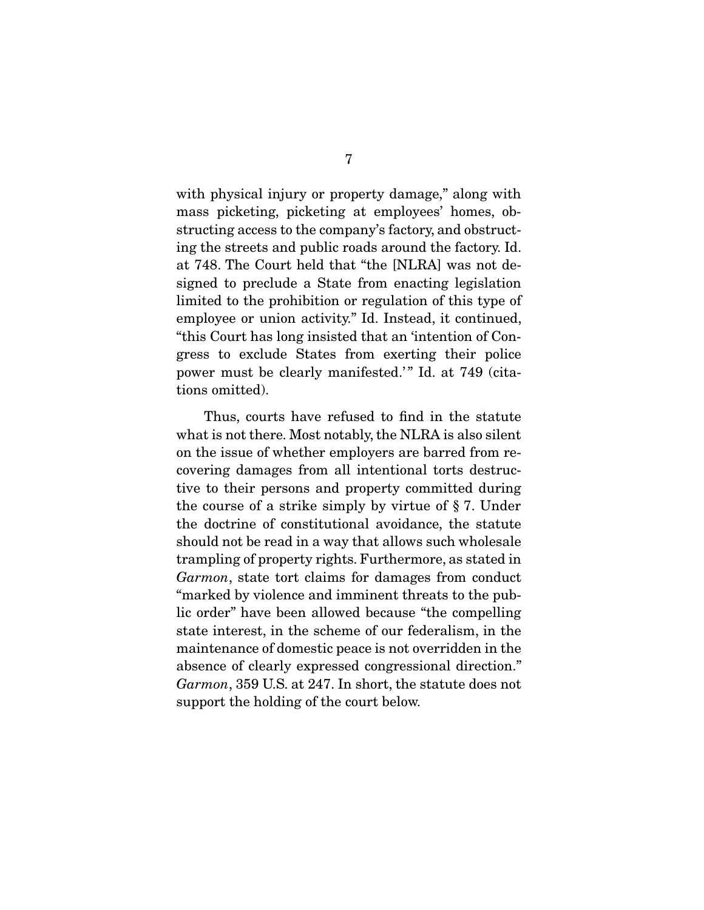with physical injury or property damage," along with mass picketing, picketing at employees' homes, obstructing access to the company's factory, and obstructing the streets and public roads around the factory. Id. at 748. The Court held that "the [NLRA] was not designed to preclude a State from enacting legislation limited to the prohibition or regulation of this type of employee or union activity." Id. Instead, it continued, "this Court has long insisted that an 'intention of Congress to exclude States from exerting their police power must be clearly manifested.'" Id. at 749 (citations omitted).

 Thus, courts have refused to find in the statute what is not there. Most notably, the NLRA is also silent on the issue of whether employers are barred from recovering damages from all intentional torts destructive to their persons and property committed during the course of a strike simply by virtue of § 7. Under the doctrine of constitutional avoidance, the statute should not be read in a way that allows such wholesale trampling of property rights. Furthermore, as stated in Garmon, state tort claims for damages from conduct "marked by violence and imminent threats to the public order" have been allowed because "the compelling state interest, in the scheme of our federalism, in the maintenance of domestic peace is not overridden in the absence of clearly expressed congressional direction." Garmon, 359 U.S. at 247. In short, the statute does not support the holding of the court below.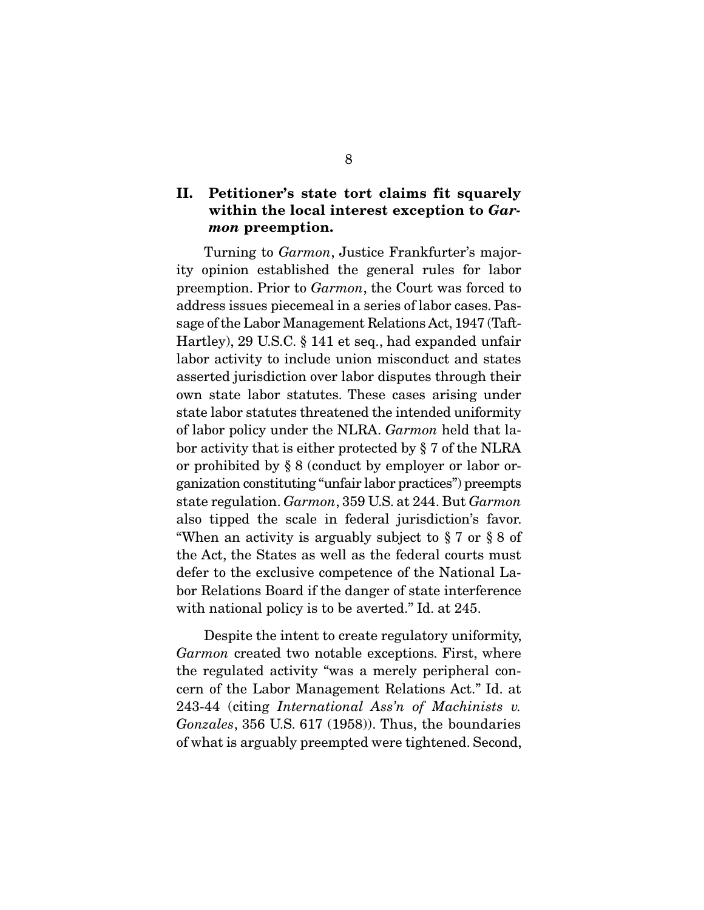# **II.** PETITIONER STATE TO CALL THE SQUARE OF STATE SUPPORT WITH THE SQUARE OF STATE SQUARE THE SQUARE STATE SQUARE SQUARE SQUARE SQUARE SQUARE SQUARE SQUARE SQUARE SQUARE SQUARE SQUARE SQUARE SQUARE SQUARE SQUARE SQUARE SQ *mon* **preemption.**

 Turning to Garmon, Justice Frankfurter's majority opinion established the general rules for labor preemption. Prior to Garmon, the Court was forced to address issues piecemeal in a series of labor cases. Passage of the Labor Management Relations Act, 1947 (Taft-Hartley), 29 U.S.C. § 141 et seq., had expanded unfair labor activity to include union misconduct and states asserted jurisdiction over labor disputes through their own state labor statutes. These cases arising under state labor statutes threatened the intended uniformity of labor policy under the NLRA. Garmon held that labor activity that is either protected by § 7 of the NLRA or prohibited by § 8 (conduct by employer or labor organization constituting "unfair labor practices") preempts state regulation. Garmon, 359 U.S. at 244. But Garmon also tipped the scale in federal jurisdiction's favor. "When an activity is arguably subject to § 7 or § 8 of the Act, the States as well as the federal courts must defer to the exclusive competence of the National Labor Relations Board if the danger of state interference with national policy is to be averted." Id. at 245.

 Despite the intent to create regulatory uniformity, Garmon created two notable exceptions. First, where the regulated activity "was a merely peripheral concern of the Labor Management Relations Act." Id. at 243-44 (citing International Ass'n of Machinists v. Gonzales, 356 U.S. 617 (1958)). Thus, the boundaries of what is arguably preempted were tightened. Second,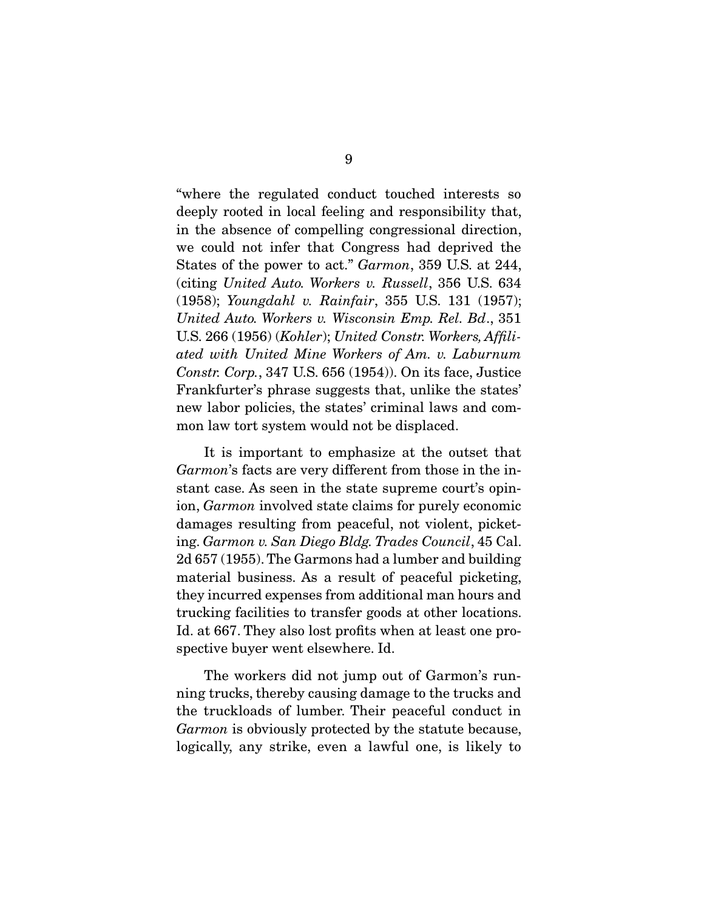"where the regulated conduct touched interests so deeply rooted in local feeling and responsibility that, in the absence of compelling congressional direction, we could not infer that Congress had deprived the States of the power to act." Garmon, 359 U.S. at 244, (citing United Auto. Workers v. Russell, 356 U.S. 634 (1958); Youngdahl v. Rainfair, 355 U.S. 131 (1957); United Auto. Workers v. Wisconsin Emp. Rel. Bd., 351 U.S. 266 (1956) (Kohler); United Constr. Workers, Affiliated with United Mine Workers of Am. v. Laburnum Constr. Corp., 347 U.S. 656 (1954)). On its face, Justice Frankfurter's phrase suggests that, unlike the states' new labor policies, the states' criminal laws and common law tort system would not be displaced.

 It is important to emphasize at the outset that Garmon's facts are very different from those in the instant case. As seen in the state supreme court's opinion, Garmon involved state claims for purely economic damages resulting from peaceful, not violent, picketing. Garmon v. San Diego Bldg. Trades Council, 45 Cal. 2d 657 (1955). The Garmons had a lumber and building material business. As a result of peaceful picketing, they incurred expenses from additional man hours and trucking facilities to transfer goods at other locations. Id. at 667. They also lost profits when at least one prospective buyer went elsewhere. Id.

 The workers did not jump out of Garmon's running trucks, thereby causing damage to the trucks and the truckloads of lumber. Their peaceful conduct in Garmon is obviously protected by the statute because, logically, any strike, even a lawful one, is likely to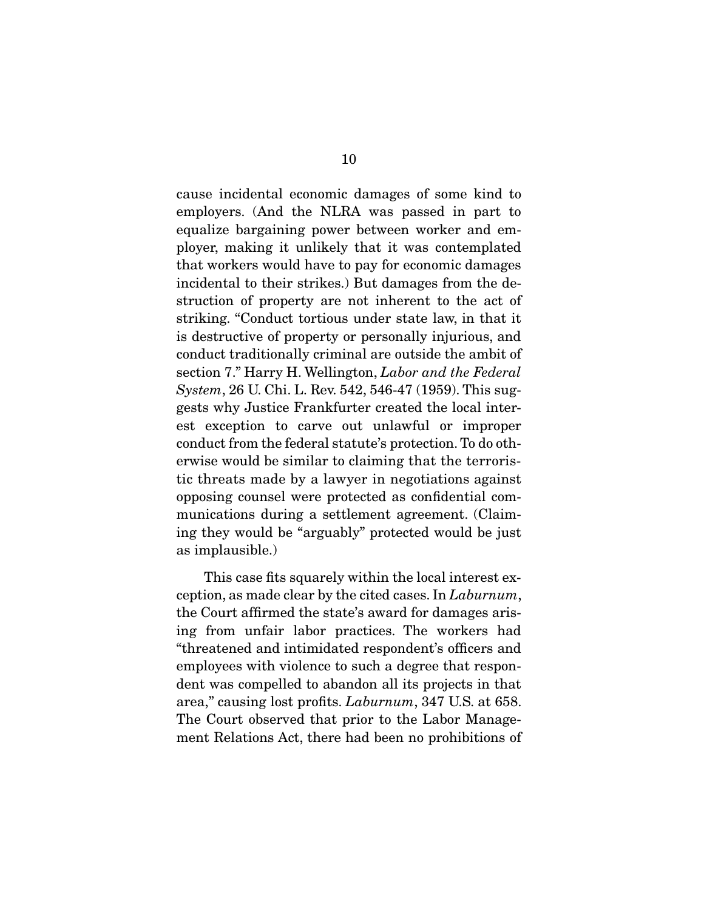cause incidental economic damages of some kind to employers. (And the NLRA was passed in part to equalize bargaining power between worker and employer, making it unlikely that it was contemplated that workers would have to pay for economic damages incidental to their strikes.) But damages from the destruction of property are not inherent to the act of striking. "Conduct tortious under state law, in that it is destructive of property or personally injurious, and conduct traditionally criminal are outside the ambit of section 7." Harry H. Wellington, Labor and the Federal System, 26 U. Chi. L. Rev. 542, 546-47 (1959). This suggests why Justice Frankfurter created the local interest exception to carve out unlawful or improper conduct from the federal statute's protection. To do otherwise would be similar to claiming that the terroristic threats made by a lawyer in negotiations against opposing counsel were protected as confidential communications during a settlement agreement. (Claiming they would be "arguably" protected would be just as implausible.)

 This case fits squarely within the local interest exception, as made clear by the cited cases. In Laburnum, the Court affirmed the state's award for damages arising from unfair labor practices. The workers had "threatened and intimidated respondent's officers and employees with violence to such a degree that respondent was compelled to abandon all its projects in that area," causing lost profits. Laburnum, 347 U.S. at 658. The Court observed that prior to the Labor Management Relations Act, there had been no prohibitions of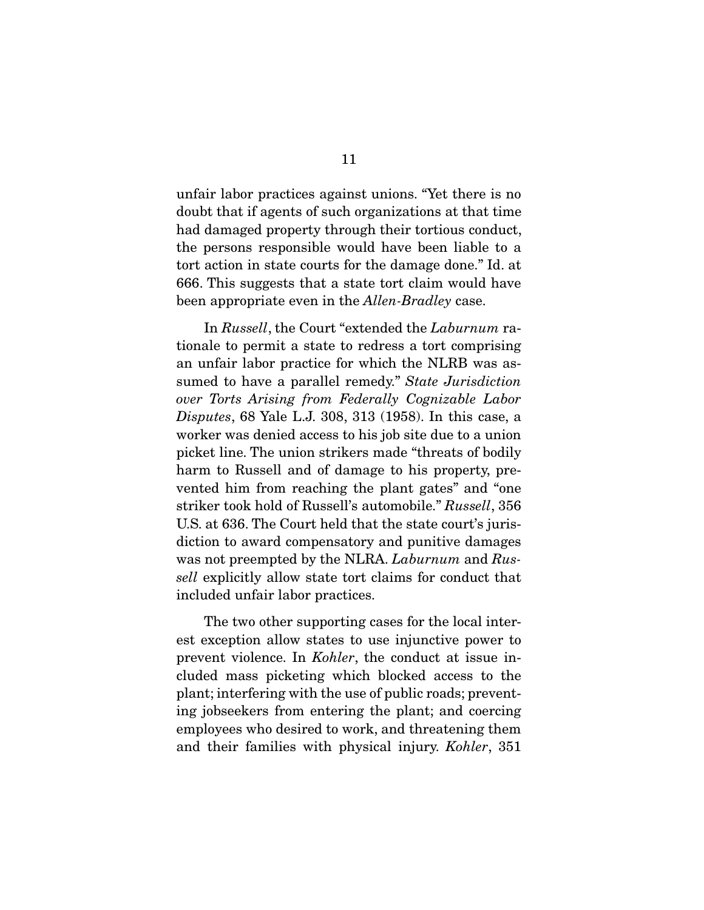unfair labor practices against unions. "Yet there is no doubt that if agents of such organizations at that time had damaged property through their tortious conduct, the persons responsible would have been liable to a tort action in state courts for the damage done." Id. at 666. This suggests that a state tort claim would have been appropriate even in the *Allen-Bradley* case.

 In Russell, the Court "extended the Laburnum rationale to permit a state to redress a tort comprising an unfair labor practice for which the NLRB was assumed to have a parallel remedy." State Jurisdiction over Torts Arising from Federally Cognizable Labor Disputes, 68 Yale L.J. 308, 313 (1958). In this case, a worker was denied access to his job site due to a union picket line. The union strikers made "threats of bodily harm to Russell and of damage to his property, prevented him from reaching the plant gates" and "one striker took hold of Russell's automobile." Russell, 356 U.S. at 636. The Court held that the state court's jurisdiction to award compensatory and punitive damages was not preempted by the NLRA. Laburnum and Russell explicitly allow state tort claims for conduct that included unfair labor practices.

 The two other supporting cases for the local interest exception allow states to use injunctive power to prevent violence. In Kohler, the conduct at issue included mass picketing which blocked access to the plant; interfering with the use of public roads; preventing jobseekers from entering the plant; and coercing employees who desired to work, and threatening them and their families with physical injury. Kohler, 351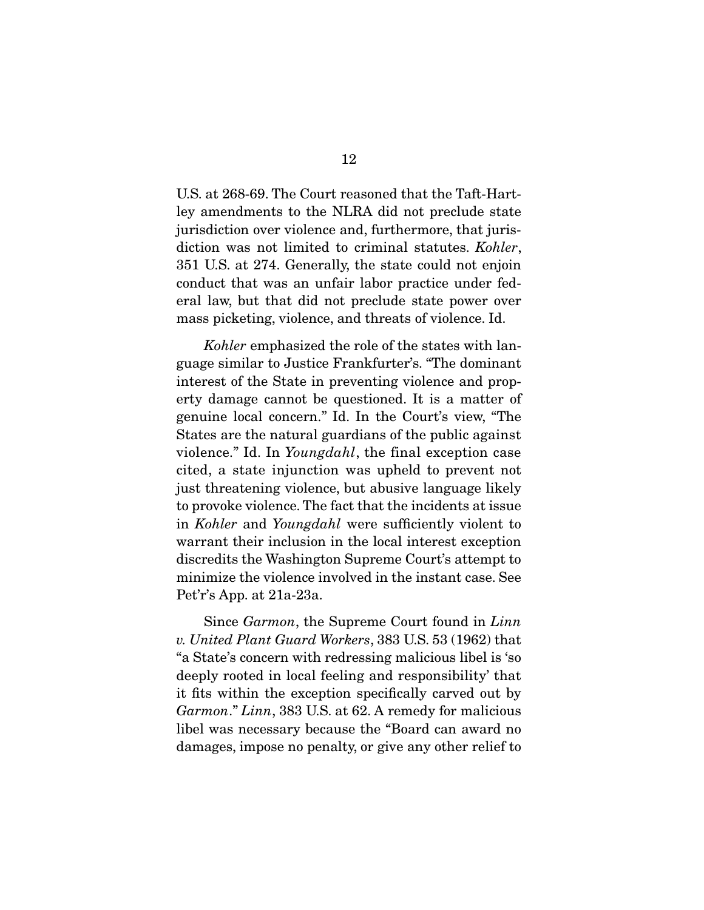U.S. at 268-69. The Court reasoned that the Taft-Hartley amendments to the NLRA did not preclude state jurisdiction over violence and, furthermore, that jurisdiction was not limited to criminal statutes. Kohler, 351 U.S. at 274. Generally, the state could not enjoin conduct that was an unfair labor practice under federal law, but that did not preclude state power over mass picketing, violence, and threats of violence. Id.

Kohler emphasized the role of the states with language similar to Justice Frankfurter's. "The dominant interest of the State in preventing violence and property damage cannot be questioned. It is a matter of genuine local concern." Id. In the Court's view, "The States are the natural guardians of the public against violence." Id. In Youngdahl, the final exception case cited, a state injunction was upheld to prevent not just threatening violence, but abusive language likely to provoke violence. The fact that the incidents at issue in Kohler and Youngdahl were sufficiently violent to warrant their inclusion in the local interest exception discredits the Washington Supreme Court's attempt to minimize the violence involved in the instant case. See Pet'r's App. at 21a-23a.

 Since Garmon, the Supreme Court found in Linn v. United Plant Guard Workers, 383 U.S. 53 (1962) that "a State's concern with redressing malicious libel is 'so deeply rooted in local feeling and responsibility' that it fits within the exception specifically carved out by Garmon." Linn, 383 U.S. at 62. A remedy for malicious libel was necessary because the "Board can award no damages, impose no penalty, or give any other relief to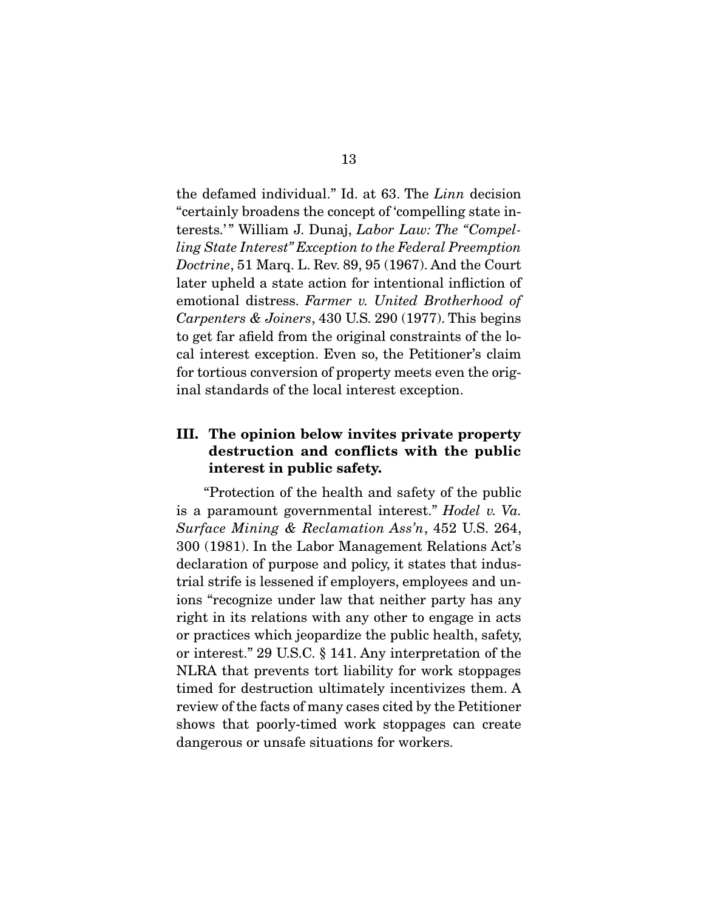the defamed individual." Id. at 63. The Linn decision "certainly broadens the concept of 'compelling state interests.'" William J. Dunaj, Labor Law: The "Compelling State Interest" Exception to the Federal Preemption Doctrine, 51 Marq. L. Rev. 89, 95 (1967). And the Court later upheld a state action for intentional infliction of emotional distress. Farmer v. United Brotherhood of Carpenters & Joiners, 430 U.S. 290 (1977). This begins to get far afield from the original constraints of the local interest exception. Even so, the Petitioner's claim for tortious conversion of property meets even the original standards of the local interest exception.

## **III. The opinion below invites private property**  destruction and conflicts while the public<br>interest in public safety **interest in public safety.**

 "Protection of the health and safety of the public is a paramount governmental interest." Hodel v. Va. Surface Mining & Reclamation Ass'n, 452 U.S. 264, 300 (1981). In the Labor Management Relations Act's declaration of purpose and policy, it states that industrial strife is lessened if employers, employees and unions "recognize under law that neither party has any right in its relations with any other to engage in acts or practices which jeopardize the public health, safety, or interest." 29 U.S.C. § 141. Any interpretation of the NLRA that prevents tort liability for work stoppages timed for destruction ultimately incentivizes them. A review of the facts of many cases cited by the Petitioner shows that poorly-timed work stoppages can create dangerous or unsafe situations for workers.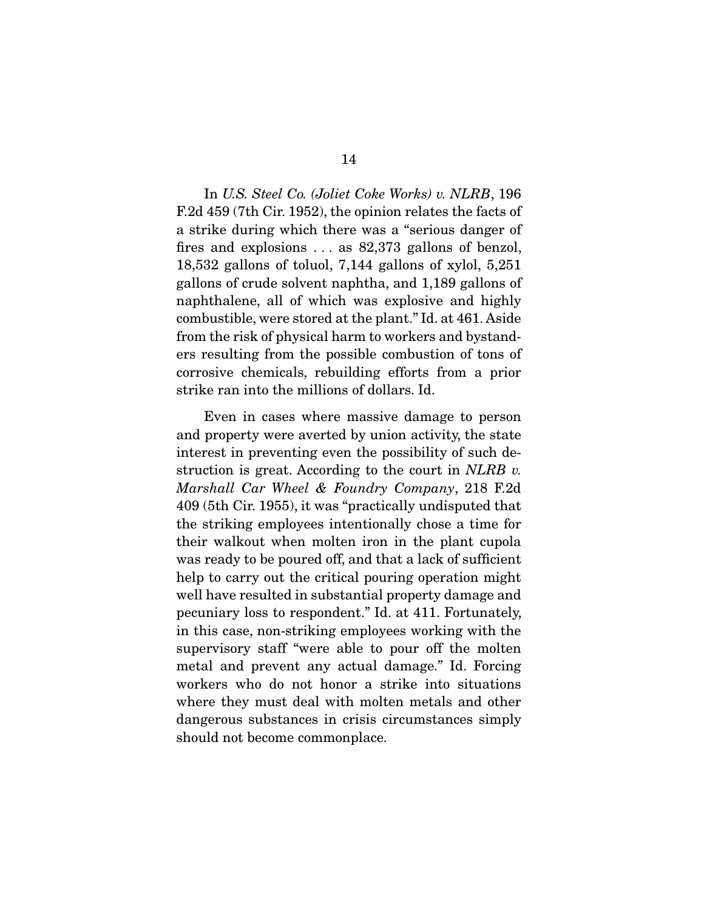In U.S. Steel Co. (Joliet Coke Works) v. NLRB, 196 F.2d 459 (7th Cir. 1952), the opinion relates the facts of a strike during which there was a "serious danger of fires and explosions . . . as 82,373 gallons of benzol, 18,532 gallons of toluol, 7,144 gallons of xylol, 5,251 gallons of crude solvent naphtha, and 1,189 gallons of naphthalene, all of which was explosive and highly combustible, were stored at the plant." Id. at 461. Aside from the risk of physical harm to workers and bystanders resulting from the possible combustion of tons of corrosive chemicals, rebuilding efforts from a prior strike ran into the millions of dollars. Id.

 Even in cases where massive damage to person and property were averted by union activity, the state interest in preventing even the possibility of such destruction is great. According to the court in  $NLRB$  v. Marshall Car Wheel & Foundry Company, 218 F.2d 409 (5th Cir. 1955), it was "practically undisputed that the striking employees intentionally chose a time for their walkout when molten iron in the plant cupola was ready to be poured off, and that a lack of sufficient help to carry out the critical pouring operation might well have resulted in substantial property damage and pecuniary loss to respondent." Id. at 411. Fortunately, in this case, non-striking employees working with the supervisory staff "were able to pour off the molten metal and prevent any actual damage." Id. Forcing workers who do not honor a strike into situations where they must deal with molten metals and other dangerous substances in crisis circumstances simply should not become commonplace.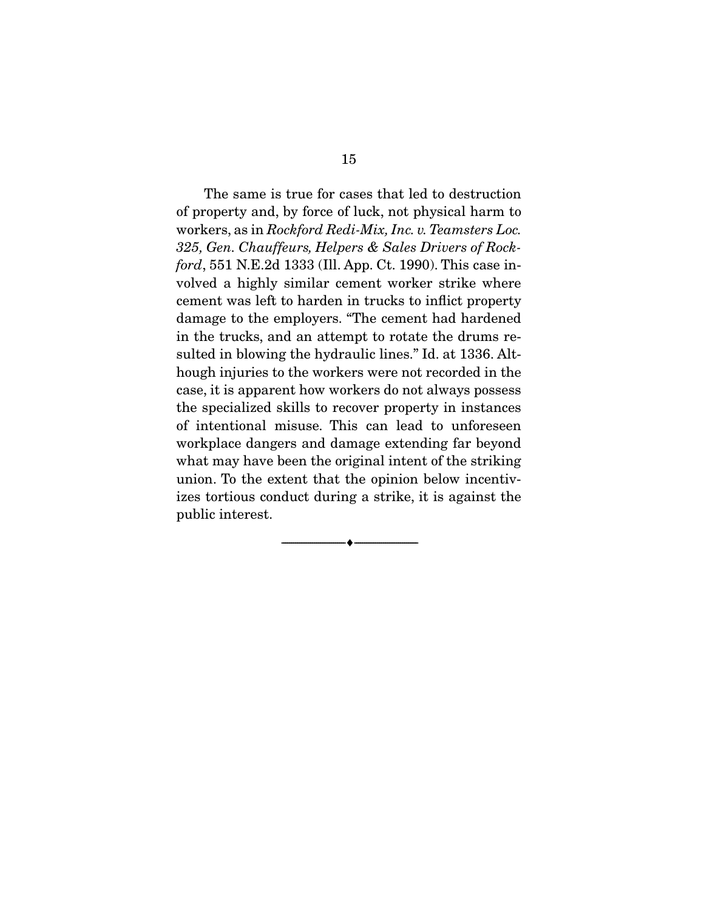The same is true for cases that led to destruction of property and, by force of luck, not physical harm to workers, as in Rockford Redi-Mix, Inc. v. Teamsters Loc. 325, Gen. Chauffeurs, Helpers & Sales Drivers of Rockford, 551 N.E.2d 1333 (Ill. App. Ct. 1990). This case involved a highly similar cement worker strike where cement was left to harden in trucks to inflict property damage to the employers. "The cement had hardened in the trucks, and an attempt to rotate the drums resulted in blowing the hydraulic lines." Id. at 1336. Although injuries to the workers were not recorded in the case, it is apparent how workers do not always possess the specialized skills to recover property in instances of intentional misuse. This can lead to unforeseen workplace dangers and damage extending far beyond what may have been the original intent of the striking union. To the extent that the opinion below incentivizes tortious conduct during a strike, it is against the public interest.

--------------------------------- ♦ ---------------------------------